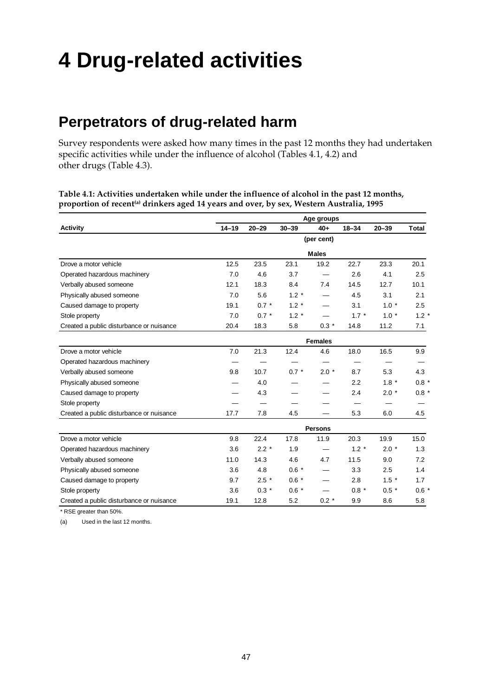# **4 Drug-related activities**

# **Perpetrators of drug-related harm**

Survey respondents were asked how many times in the past 12 months they had undertaken specific activities while under the influence of alcohol (Tables 4.1, 4.2) and other drugs (Table 4.3).

**Table 4.1: Activities undertaken while under the influence of alcohol in the past 12 months,** proportion of recent<sup>(a)</sup> drinkers aged 14 years and over, by sex, Western Australia, 1995

|                                          |           | Age groups |           |                |           |           |         |  |  |  |
|------------------------------------------|-----------|------------|-----------|----------------|-----------|-----------|---------|--|--|--|
| Activity                                 | $14 - 19$ | $20 - 29$  | $30 - 39$ | $40+$          | $18 - 34$ | $20 - 39$ | Total   |  |  |  |
|                                          |           |            |           | (per cent)     |           |           |         |  |  |  |
|                                          |           |            |           | <b>Males</b>   |           |           |         |  |  |  |
| Drove a motor vehicle                    | 12.5      | 23.5       | 23.1      | 19.2           | 22.7      | 23.3      | 20.1    |  |  |  |
| Operated hazardous machinery             | 7.0       | 4.6        | 3.7       |                | 2.6       | 4.1       | 2.5     |  |  |  |
| Verbally abused someone                  | 12.1      | 18.3       | 8.4       | 7.4            | 14.5      | 12.7      | 10.1    |  |  |  |
| Physically abused someone                | 7.0       | 5.6        | $1.2 *$   |                | 4.5       | 3.1       | 2.1     |  |  |  |
| Caused damage to property                | 19.1      | $0.7 *$    | $1.2 *$   |                | 3.1       | $1.0*$    | 2.5     |  |  |  |
| Stole property                           | 7.0       | $0.7 *$    | $1.2 *$   |                | $1.7 *$   | $1.0*$    | $1.2 *$ |  |  |  |
| Created a public disturbance or nuisance | 20.4      | 18.3       | 5.8       | $0.3*$         | 14.8      | 11.2      | 7.1     |  |  |  |
|                                          |           |            |           | <b>Females</b> |           |           |         |  |  |  |
| Drove a motor vehicle                    | 7.0       | 21.3       | 12.4      | 4.6            | 18.0      | 16.5      | 9.9     |  |  |  |
| Operated hazardous machinery             |           |            |           |                |           |           |         |  |  |  |
| Verbally abused someone                  | 9.8       | 10.7       | $0.7 *$   | $2.0*$         | 8.7       | 5.3       | 4.3     |  |  |  |
| Physically abused someone                |           | 4.0        |           |                | 2.2       | $1.8 *$   | $0.8 *$ |  |  |  |
| Caused damage to property                |           | 4.3        |           |                | 2.4       | $2.0*$    | $0.8 *$ |  |  |  |
| Stole property                           |           |            |           |                |           |           |         |  |  |  |
| Created a public disturbance or nuisance | 17.7      | 7.8        | 4.5       |                | 5.3       | 6.0       | 4.5     |  |  |  |
|                                          |           |            |           | <b>Persons</b> |           |           |         |  |  |  |
| Drove a motor vehicle                    | 9.8       | 22.4       | 17.8      | 11.9           | 20.3      | 19.9      | 15.0    |  |  |  |
| Operated hazardous machinery             | 3.6       | $2.2*$     | 1.9       |                | $1.2 *$   | $2.0*$    | 1.3     |  |  |  |
| Verbally abused someone                  | 11.0      | 14.3       | 4.6       | 4.7            | 11.5      | 9.0       | 7.2     |  |  |  |
| Physically abused someone                | 3.6       | 4.8        | $0.6 *$   |                | 3.3       | 2.5       | 1.4     |  |  |  |
| Caused damage to property                | 9.7       | $2.5*$     | $0.6 *$   |                | 2.8       | $1.5*$    | 1.7     |  |  |  |
| Stole property                           | 3.6       | $0.3 *$    | $0.6 *$   |                | $0.8 *$   | $0.5 *$   | $0.6 *$ |  |  |  |
| Created a public disturbance or nuisance | 19.1      | 12.8       | 5.2       | $0.2 *$        | 9.9       | 8.6       | 5.8     |  |  |  |
|                                          |           |            |           |                |           |           |         |  |  |  |

\* RSE greater than 50%.

(a) Used in the last 12 months.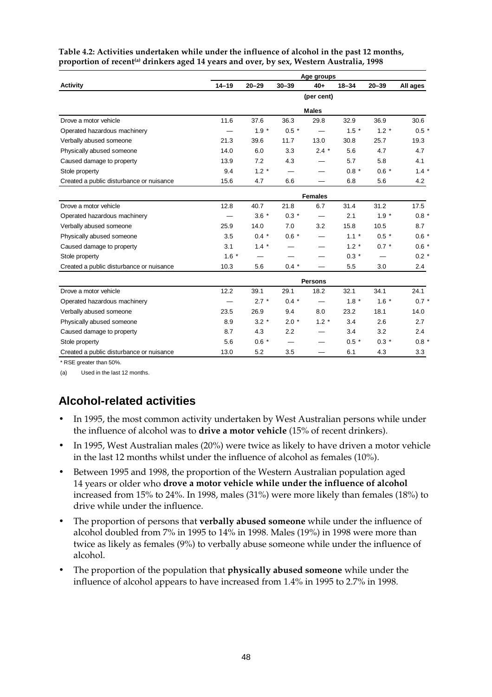|                                          | Age groups |           |           |                          |           |           |          |  |  |  |
|------------------------------------------|------------|-----------|-----------|--------------------------|-----------|-----------|----------|--|--|--|
| <b>Activity</b>                          | $14 - 19$  | $20 - 29$ | $30 - 39$ | $40+$                    | $18 - 34$ | $20 - 39$ | All ages |  |  |  |
|                                          |            |           |           | (per cent)               |           |           |          |  |  |  |
|                                          |            |           |           | <b>Males</b>             |           |           |          |  |  |  |
| Drove a motor vehicle                    | 11.6       | 37.6      | 36.3      | 29.8                     | 32.9      | 36.9      | 30.6     |  |  |  |
| Operated hazardous machinery             |            | $1.9 *$   | $0.5 *$   |                          | $1.5 *$   | $1.2 *$   | $0.5 *$  |  |  |  |
| Verbally abused someone                  | 21.3       | 39.6      | 11.7      | 13.0                     | 30.8      | 25.7      | 19.3     |  |  |  |
| Physically abused someone                | 14.0       | 6.0       | 3.3       | $2.4 *$                  | 5.6       | 4.7       | 4.7      |  |  |  |
| Caused damage to property                | 13.9       | 7.2       | 4.3       |                          | 5.7       | 5.8       | 4.1      |  |  |  |
| Stole property                           | 9.4        | $1.2 *$   |           |                          | $0.8 *$   | $0.6 *$   | $1.4 *$  |  |  |  |
| Created a public disturbance or nuisance | 15.6       | 4.7       | 6.6       |                          | 6.8       | 5.6       | 4.2      |  |  |  |
|                                          |            |           |           | <b>Females</b>           |           |           |          |  |  |  |
| Drove a motor vehicle                    | 12.8       | 40.7      | 21.8      | 6.7                      | 31.4      | 31.2      | 17.5     |  |  |  |
| Operated hazardous machinery             |            | $3.6*$    | $0.3 *$   |                          | 2.1       | $1.9 *$   | $0.8 *$  |  |  |  |
| Verbally abused someone                  | 25.9       | 14.0      | 7.0       | 3.2                      | 15.8      | 10.5      | 8.7      |  |  |  |
| Physically abused someone                | 3.5        | $0.4 *$   | $0.6 *$   |                          | $1.1 *$   | $0.5 *$   | $0.6*$   |  |  |  |
| Caused damage to property                | 3.1        | $1.4 *$   |           |                          | $1.2 *$   | $0.7 *$   | $0.6 *$  |  |  |  |
| Stole property                           | $1.6*$     |           |           |                          | $0.3 *$   |           | $0.2 *$  |  |  |  |
| Created a public disturbance or nuisance | 10.3       | 5.6       | $0.4 *$   |                          | 5.5       | 3.0       | 2.4      |  |  |  |
|                                          |            |           |           | <b>Persons</b>           |           |           |          |  |  |  |
| Drove a motor vehicle                    | 12.2       | 39.1      | 29.1      | 18.2                     | 32.1      | 34.1      | 24.1     |  |  |  |
| Operated hazardous machinery             |            | $2.7 *$   | $0.4 *$   | $\overline{\phantom{0}}$ | $1.8 *$   | $1.6*$    | $0.7 *$  |  |  |  |
| Verbally abused someone                  | 23.5       | 26.9      | 9.4       | 8.0                      | 23.2      | 18.1      | 14.0     |  |  |  |
| Physically abused someone                | 8.9        | $3.2*$    | $2.0*$    | $1.2 *$                  | 3.4       | 2.6       | 2.7      |  |  |  |
| Caused damage to property                | 8.7        | 4.3       | 2.2       |                          | 3.4       | 3.2       | $2.4\,$  |  |  |  |
| Stole property                           | 5.6        | $0.6 *$   |           |                          | $0.5 *$   | $0.3 *$   | $0.8 *$  |  |  |  |
| Created a public disturbance or nuisance | 13.0       | 5.2       | 3.5       |                          | 6.1       | 4.3       | 3.3      |  |  |  |

**Table 4.2: Activities undertaken while under the influence of alcohol in the past 12 months,** proportion of recent<sup>(a)</sup> drinkers aged 14 years and over, by sex, Western Australia, 1998

RSE greater than 50%.

(a) Used in the last 12 months.

## **Alcohol-related activities**

- In 1995, the most common activity undertaken by West Australian persons while under the influence of alcohol was to **drive a motor vehicle** (15% of recent drinkers).
- In 1995, West Australian males (20%) were twice as likely to have driven a motor vehicle in the last 12 months whilst under the influence of alcohol as females (10%).
- Between 1995 and 1998, the proportion of the Western Australian population aged 14 years or older who **drove a motor vehicle while under the influence of alcohol** increased from 15% to 24%. In 1998, males (31%) were more likely than females (18%) to drive while under the influence.
- The proportion of persons that **verbally abused someone** while under the influence of alcohol doubled from 7% in 1995 to 14% in 1998. Males (19%) in 1998 were more than twice as likely as females (9%) to verbally abuse someone while under the influence of alcohol.
- The proportion of the population that **physically abused someone** while under the influence of alcohol appears to have increased from 1.4% in 1995 to 2.7% in 1998.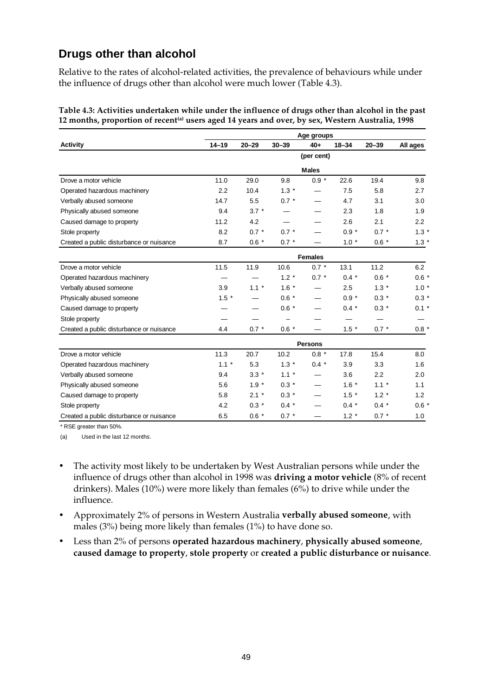### **Drugs other than alcohol**

Relative to the rates of alcohol-related activities, the prevalence of behaviours while under the influence of drugs other than alcohol were much lower (Table 4.3).

|                                          | Age groups     |           |           |                |           |           |          |  |  |  |
|------------------------------------------|----------------|-----------|-----------|----------------|-----------|-----------|----------|--|--|--|
| <b>Activity</b>                          | $14 - 19$      | $20 - 29$ | $30 - 39$ | $40+$          | $18 - 34$ | $20 - 39$ | All ages |  |  |  |
|                                          |                |           |           | (per cent)     |           |           |          |  |  |  |
|                                          |                |           |           | <b>Males</b>   |           |           |          |  |  |  |
| Drove a motor vehicle                    | 11.0           | 29.0      | 9.8       | $0.9 *$        | 22.6      | 19.4      | 9.8      |  |  |  |
| Operated hazardous machinery             | 2.2            | 10.4      | $1.3*$    |                | 7.5       | 5.8       | 2.7      |  |  |  |
| Verbally abused someone                  | 14.7           | 5.5       | $0.7 *$   |                | 4.7       | 3.1       | 3.0      |  |  |  |
| Physically abused someone                | 9.4            | $3.7 *$   |           |                | 2.3       | 1.8       | 1.9      |  |  |  |
| Caused damage to property                | 11.2           | 4.2       |           |                | 2.6       | 2.1       | 2.2      |  |  |  |
| Stole property                           | 8.2            | $0.7 *$   | $0.7 *$   |                | $0.9 *$   | $0.7 *$   | 1.3      |  |  |  |
| Created a public disturbance or nuisance | 8.7            | $0.6 *$   | $0.7 *$   |                | $1.0*$    | $0.6 *$   | $1.3*$   |  |  |  |
|                                          | <b>Females</b> |           |           |                |           |           |          |  |  |  |
| Drove a motor vehicle                    | 11.5           | 11.9      | 10.6      | $0.7 *$        | 13.1      | 11.2      | 6.2      |  |  |  |
| Operated hazardous machinery             |                |           | $1.2 *$   | $0.7 *$        | $0.4 *$   | $0.6 *$   | $0.6*$   |  |  |  |
| Verbally abused someone                  | 3.9            | $1.1 *$   | $1.6*$    |                | 2.5       | $1.3*$    | $1.0*$   |  |  |  |
| Physically abused someone                | $1.5 *$        |           | $0.6 *$   |                | $0.9 *$   | $0.3 *$   | $0.3 *$  |  |  |  |
| Caused damage to property                |                |           | $0.6 *$   |                | $0.4 *$   | $0.3 *$   | $0.1 *$  |  |  |  |
| Stole property                           |                |           |           |                |           |           |          |  |  |  |
| Created a public disturbance or nuisance | 4.4            | $0.7 *$   | $0.6 *$   |                | $1.5*$    | $0.7 *$   | $0.8 *$  |  |  |  |
|                                          |                |           |           | <b>Persons</b> |           |           |          |  |  |  |
| Drove a motor vehicle                    | 11.3           | 20.7      | 10.2      | $0.8 *$        | 17.8      | 15.4      | 8.0      |  |  |  |
| Operated hazardous machinery             | $1.1 *$        | 5.3       | $1.3 *$   | $0.4 *$        | 3.9       | 3.3       | 1.6      |  |  |  |
| Verbally abused someone                  | 9.4            | $3.3*$    | $1.1 *$   |                | 3.6       | 2.2       | 2.0      |  |  |  |
| Physically abused someone                | 5.6            | $1.9 *$   | $0.3 *$   | —              | $1.6*$    | $1.1 *$   | 1.1      |  |  |  |
| Caused damage to property                | 5.8            | $2.1 *$   | $0.3 *$   |                | $1.5 *$   | $1.2 *$   | 1.2      |  |  |  |
| Stole property                           | 4.2            | $0.3 *$   | $0.4 *$   |                | $0.4 *$   | $0.4 *$   | $0.6*$   |  |  |  |
| Created a public disturbance or nuisance | 6.5            | $0.6*$    | $0.7 *$   |                | $1.2 *$   | $0.7 *$   | 1.0      |  |  |  |

**Table 4.3: Activities undertaken while under the influence of drugs other than alcohol in the past** 12 months, proportion of recent<sup>(a)</sup> users aged 14 years and over, by sex, Western Australia, 1998

\* RSE greater than 50%.

(a) Used in the last 12 months.

- The activity most likely to be undertaken by West Australian persons while under the influence of drugs other than alcohol in 1998 was **driving a motor vehicle** (8% of recent drinkers). Males (10%) were more likely than females (6%) to drive while under the influence.
- Approximately 2% of persons in Western Australia **verbally abused someone**, with males (3%) being more likely than females (1%) to have done so.
- Less than 2% of persons **operated hazardous machinery**, **physically abused someone**, **caused damage to property**, **stole property** or **created a public disturbance or nuisance**.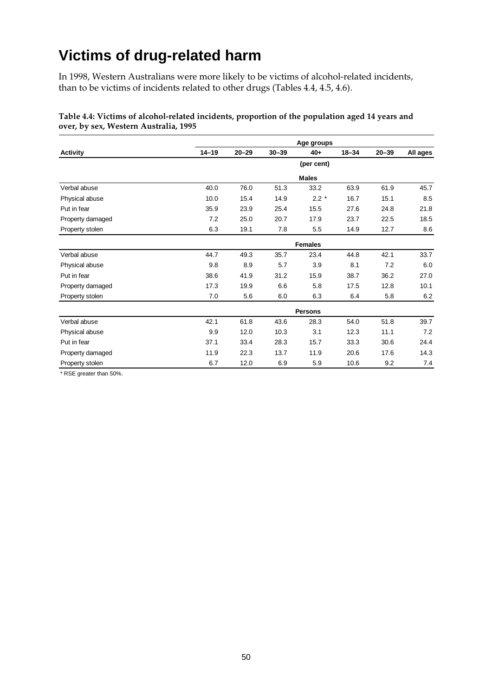# **Victims of drug-related harm**

In 1998, Western Australians were more likely to be victims of alcohol-related incidents, than to be victims of incidents related to other drugs (Tables 4.4, 4.5, 4.6).

|                  |                |           |           | Age groups   |           |           |          |  |  |
|------------------|----------------|-----------|-----------|--------------|-----------|-----------|----------|--|--|
| <b>Activity</b>  | $14 - 19$      | $20 - 29$ | $30 - 39$ | $40+$        | $18 - 34$ | $20 - 39$ | All ages |  |  |
|                  |                |           |           | (per cent)   |           |           |          |  |  |
|                  |                |           |           | <b>Males</b> |           |           |          |  |  |
| Verbal abuse     | 40.0           | 76.0      | 51.3      | 33.2         | 63.9      | 61.9      | 45.7     |  |  |
| Physical abuse   | 10.0           | 15.4      | 14.9      | $2.2 *$      | 16.7      | 15.1      | 8.5      |  |  |
| Put in fear      | 35.9           | 23.9      | 25.4      | 15.5         | 27.6      | 24.8      | 21.8     |  |  |
| Property damaged | 7.2            | 25.0      | 20.7      | 17.9         | 23.7      | 22.5      | 18.5     |  |  |
| Property stolen  | 6.3            | 19.1      | 7.8       | 5.5          | 14.9      | 12.7      | 8.6      |  |  |
|                  | <b>Females</b> |           |           |              |           |           |          |  |  |
| Verbal abuse     | 44.7           | 49.3      | 35.7      | 23.4         | 44.8      | 42.1      | 33.7     |  |  |
| Physical abuse   | 9.8            | 8.9       | 5.7       | 3.9          | 8.1       | 7.2       | 6.0      |  |  |
| Put in fear      | 38.6           | 41.9      | 31.2      | 15.9         | 38.7      | 36.2      | 27.0     |  |  |
| Property damaged | 17.3           | 19.9      | 6.6       | 5.8          | 17.5      | 12.8      | 10.1     |  |  |
| Property stolen  | 7.0            | 5.6       | 6.0       | 6.3          | 6.4       | 5.8       | 6.2      |  |  |
|                  | <b>Persons</b> |           |           |              |           |           |          |  |  |
| Verbal abuse     | 42.1           | 61.8      | 43.6      | 28.3         | 54.0      | 51.8      | 39.7     |  |  |
| Physical abuse   | 9.9            | 12.0      | 10.3      | 3.1          | 12.3      | 11.1      | 7.2      |  |  |
| Put in fear      | 37.1           | 33.4      | 28.3      | 15.7         | 33.3      | 30.6      | 24.4     |  |  |
| Property damaged | 11.9           | 22.3      | 13.7      | 11.9         | 20.6      | 17.6      | 14.3     |  |  |
| Property stolen  | 6.7            | 12.0      | 6.9       | 5.9          | 10.6      | 9.2       | 7.4      |  |  |

#### **Table 4.4: Victims of alcohol-related incidents, proportion of the population aged 14 years and over, by sex, Western Australia, 1995**

\* RSE greater than 50%.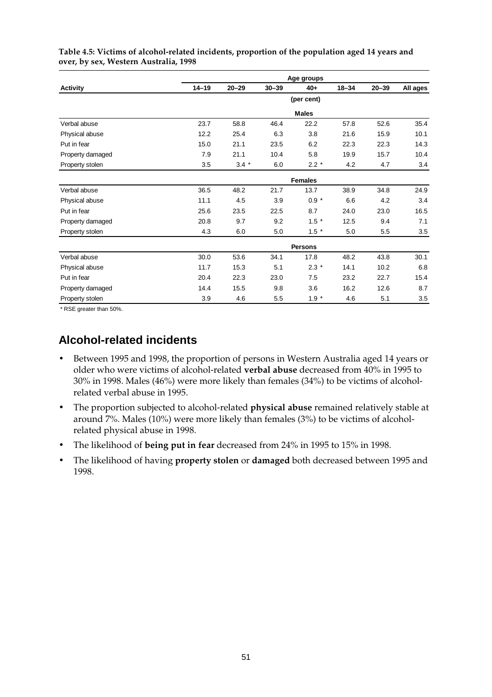|                  |                |           |           | Age groups   |           |           |          |  |  |  |  |  |  |
|------------------|----------------|-----------|-----------|--------------|-----------|-----------|----------|--|--|--|--|--|--|
| <b>Activity</b>  | $14 - 19$      | $20 - 29$ | $30 - 39$ | 40+          | $18 - 34$ | $20 - 39$ | All ages |  |  |  |  |  |  |
|                  |                |           |           | (per cent)   |           |           |          |  |  |  |  |  |  |
|                  |                |           |           | <b>Males</b> |           |           |          |  |  |  |  |  |  |
| Verbal abuse     | 23.7           | 58.8      | 46.4      | 22.2         | 57.8      | 52.6      | 35.4     |  |  |  |  |  |  |
| Physical abuse   | 12.2           | 25.4      | 6.3       | 3.8          | 21.6      | 15.9      | 10.1     |  |  |  |  |  |  |
| Put in fear      | 15.0           | 21.1      | 23.5      | 6.2          | 22.3      | 22.3      | 14.3     |  |  |  |  |  |  |
| Property damaged | 7.9            | 21.1      | 10.4      | 5.8          | 19.9      | 15.7      | 10.4     |  |  |  |  |  |  |
| Property stolen  | 3.5            | $3.4 *$   | 6.0       | $2.2*$       | 4.2       | 4.7       | 3.4      |  |  |  |  |  |  |
|                  | <b>Females</b> |           |           |              |           |           |          |  |  |  |  |  |  |
| Verbal abuse     | 36.5           | 48.2      | 21.7      | 13.7         | 38.9      | 34.8      | 24.9     |  |  |  |  |  |  |
| Physical abuse   | 11.1           | 4.5       | 3.9       | $0.9 *$      | 6.6       | 4.2       | 3.4      |  |  |  |  |  |  |
| Put in fear      | 25.6           | 23.5      | 22.5      | 8.7          | 24.0      | 23.0      | 16.5     |  |  |  |  |  |  |
| Property damaged | 20.8           | 9.7       | 9.2       | $1.5*$       | 12.5      | 9.4       | 7.1      |  |  |  |  |  |  |
| Property stolen  | 4.3            | 6.0       | 5.0       | $1.5*$       | 5.0       | 5.5       | 3.5      |  |  |  |  |  |  |
|                  | <b>Persons</b> |           |           |              |           |           |          |  |  |  |  |  |  |
| Verbal abuse     | 30.0           | 53.6      | 34.1      | 17.8         | 48.2      | 43.8      | 30.1     |  |  |  |  |  |  |
| Physical abuse   | 11.7           | 15.3      | 5.1       | $2.3*$       | 14.1      | 10.2      | 6.8      |  |  |  |  |  |  |
| Put in fear      | 20.4           | 22.3      | 23.0      | 7.5          | 23.2      | 22.7      | 15.4     |  |  |  |  |  |  |
| Property damaged | 14.4           | 15.5      | 9.8       | 3.6          | 16.2      | 12.6      | 8.7      |  |  |  |  |  |  |
| Property stolen  | 3.9            | 4.6       | 5.5       | $1.9 *$      | 4.6       | 5.1       | 3.5      |  |  |  |  |  |  |

**Table 4.5: Victims of alcohol-related incidents, proportion of the population aged 14 years and over, by sex, Western Australia, 1998**

\* RSE greater than 50%.

#### **Alcohol-related incidents**

- Between 1995 and 1998, the proportion of persons in Western Australia aged 14 years or older who were victims of alcohol-related **verbal abuse** decreased from 40% in 1995 to 30% in 1998. Males (46%) were more likely than females (34%) to be victims of alcoholrelated verbal abuse in 1995.
- The proportion subjected to alcohol-related **physical abuse** remained relatively stable at around 7%. Males (10%) were more likely than females (3%) to be victims of alcoholrelated physical abuse in 1998.
- The likelihood of **being put in fear** decreased from 24% in 1995 to 15% in 1998.
- The likelihood of having **property stolen** or **damaged** both decreased between 1995 and 1998.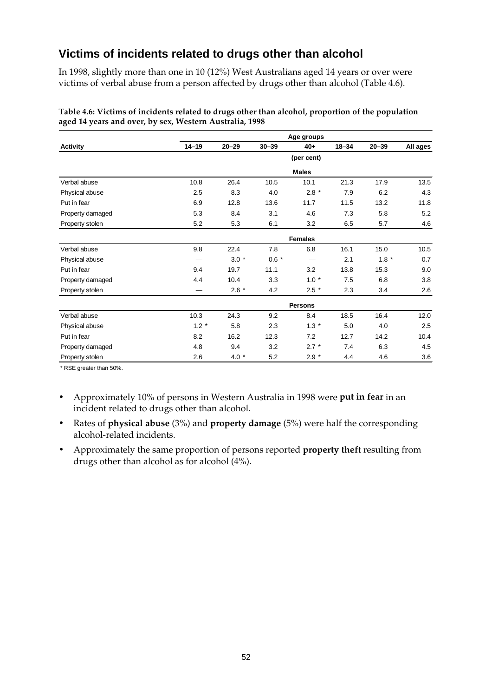#### **Victims of incidents related to drugs other than alcohol**

In 1998, slightly more than one in 10 (12%) West Australians aged 14 years or over were victims of verbal abuse from a person affected by drugs other than alcohol (Table 4.6).

|                  |                |                |           | Age groups   |           |           |          |  |  |  |  |  |  |
|------------------|----------------|----------------|-----------|--------------|-----------|-----------|----------|--|--|--|--|--|--|
| <b>Activity</b>  | $14 - 19$      | $20 - 29$      | $30 - 39$ | $40+$        | $18 - 34$ | $20 - 39$ | All ages |  |  |  |  |  |  |
|                  |                |                |           | (per cent)   |           |           |          |  |  |  |  |  |  |
|                  |                |                |           | <b>Males</b> |           |           |          |  |  |  |  |  |  |
| Verbal abuse     | 10.8           | 26.4           | 10.5      | 10.1         | 21.3      | 17.9      | 13.5     |  |  |  |  |  |  |
| Physical abuse   | 2.5            | 8.3            | 4.0       | $2.8*$       | 7.9       | 6.2       | 4.3      |  |  |  |  |  |  |
| Put in fear      | 6.9            | 12.8           | 13.6      | 11.7         | 11.5      | 13.2      | 11.8     |  |  |  |  |  |  |
| Property damaged | 5.3            | 8.4            | 3.1       | 4.6          | 7.3       | 5.8       | 5.2      |  |  |  |  |  |  |
| Property stolen  | 5.2            | 5.3            | 6.1       | 3.2          | 6.5       | 5.7       | 4.6      |  |  |  |  |  |  |
|                  | <b>Females</b> |                |           |              |           |           |          |  |  |  |  |  |  |
| Verbal abuse     | 9.8            | 22.4           | 7.8       | 6.8          | 16.1      | 15.0      | 10.5     |  |  |  |  |  |  |
| Physical abuse   |                | $3.0*$         | $0.6 *$   |              | 2.1       | $1.8 *$   | 0.7      |  |  |  |  |  |  |
| Put in fear      | 9.4            | 19.7           | 11.1      | 3.2          | 13.8      | 15.3      | 9.0      |  |  |  |  |  |  |
| Property damaged | 4.4            | 10.4           | 3.3       | $1.0*$       | 7.5       | 6.8       | 3.8      |  |  |  |  |  |  |
| Property stolen  |                | $2.6*$         | 4.2       | $2.5*$       | 2.3       | 3.4       | 2.6      |  |  |  |  |  |  |
|                  |                | <b>Persons</b> |           |              |           |           |          |  |  |  |  |  |  |
| Verbal abuse     | 10.3           | 24.3           | 9.2       | 8.4          | 18.5      | 16.4      | 12.0     |  |  |  |  |  |  |
| Physical abuse   | $1.2 *$        | 5.8            | 2.3       | $1.3*$       | 5.0       | 4.0       | 2.5      |  |  |  |  |  |  |
| Put in fear      | 8.2            | 16.2           | 12.3      | 7.2          | 12.7      | 14.2      | 10.4     |  |  |  |  |  |  |
| Property damaged | 4.8            | 9.4            | 3.2       | $2.7 *$      | 7.4       | 6.3       | 4.5      |  |  |  |  |  |  |
| Property stolen  | 2.6            | $4.0*$         | 5.2       | $2.9 *$      | 4.4       | 4.6       | 3.6      |  |  |  |  |  |  |

**Table 4.6: Victims of incidents related to drugs other than alcohol, proportion of the population aged 14 years and over, by sex, Western Australia, 1998**

\* RSE greater than 50%.

- Approximately 10% of persons in Western Australia in 1998 were **put in fear** in an incident related to drugs other than alcohol.
- Rates of **physical abuse** (3%) and **property damage** (5%) were half the corresponding alcohol-related incidents.
- Approximately the same proportion of persons reported **property theft** resulting from drugs other than alcohol as for alcohol (4%).